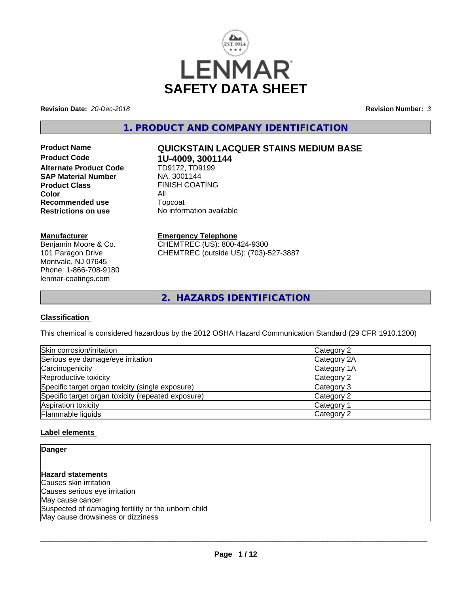

**Revision Date:** *20-Dec-2018* **Revision Number:** *3*

**1. PRODUCT AND COMPANY IDENTIFICATION**

**Product Code 1U-4009, 3001144**<br>**Alternate Product Code 1D9172, TD9199 Alternate Product Code SAP Material Number** NA, 3001144 **Product Class** FINISH COATING<br> **Color Color Recommended use** Topcoat **Restrictions on use** No information available

#### **Manufacturer**

Benjamin Moore & Co. 101 Paragon Drive Montvale, NJ 07645 Phone: 1-866-708-9180 lenmar-coatings.com

# **Product Name QUICKSTAIN LACQUER STAINS MEDIUM BASE**

**Emergency Telephone** CHEMTREC (US): 800-424-9300 CHEMTREC (outside US): (703)-527-3887

**2. HAZARDS IDENTIFICATION**

#### **Classification**

This chemical is considered hazardous by the 2012 OSHA Hazard Communication Standard (29 CFR 1910.1200)

| Skin corrosion/irritation                          | Category 2  |
|----------------------------------------------------|-------------|
| Serious eye damage/eye irritation                  | Category 2A |
| Carcinogenicity                                    | Category 1A |
| Reproductive toxicity                              | Category 2  |
| Specific target organ toxicity (single exposure)   | Category 3  |
| Specific target organ toxicity (repeated exposure) | Category 2  |
| Aspiration toxicity                                | Category 1  |
| Flammable liquids                                  | Category 2  |

#### **Label elements**

#### **Danger**

**Hazard statements** Causes skin irritation Causes serious eye irritation May cause cancer Suspected of damaging fertility or the unborn child May cause drowsiness or dizziness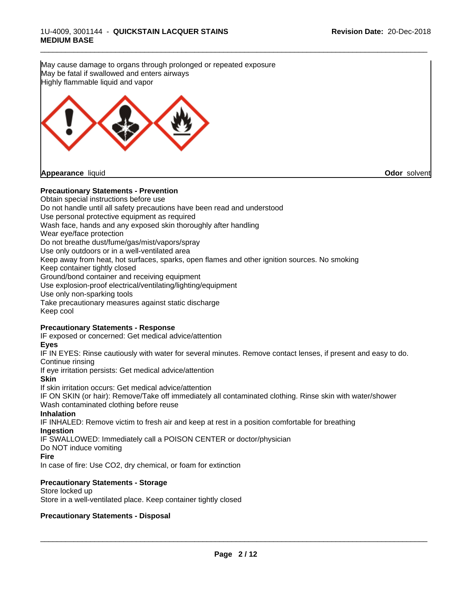\_\_\_\_\_\_\_\_\_\_\_\_\_\_\_\_\_\_\_\_\_\_\_\_\_\_\_\_\_\_\_\_\_\_\_\_\_\_\_\_\_\_\_\_\_\_\_\_\_\_\_\_\_\_\_\_\_\_\_\_\_\_\_\_\_\_\_\_\_\_\_\_\_\_\_\_\_\_\_\_\_\_\_\_\_\_\_\_\_\_\_\_\_ **Precautionary Statements - Prevention** Obtain special instructions before use Do not handle until all safety precautions have been read and understood Use personal protective equipment as required Wash face, hands and any exposed skin thoroughly after handling Wear eye/face protection Do not breathe dust/fume/gas/mist/vapors/spray Use only outdoors or in a well-ventilated area Keep away from heat, hot surfaces, sparks, open flames and other ignition sources. No smoking Keep container tightly closed Ground/bond container and receiving equipment Use explosion-proof electrical/ventilating/lighting/equipment Use only non-sparking tools Take precautionary measures against static discharge Keep cool **Precautionary Statements - Response** IF exposed or concerned: Get medical advice/attention **Eyes** IF IN EYES: Rinse cautiously with water for several minutes. Remove contact lenses, if present and easy to do. Continue rinsing If eye irritation persists: Get medical advice/attention **Skin** If skin irritation occurs: Get medical advice/attention IF ON SKIN (or hair): Remove/Take off immediately all contaminated clothing. Rinse skin with water/shower Wash contaminated clothing before reuse **Inhalation** IF INHALED: Remove victim to fresh air and keep at rest in a position comfortable for breathing **Ingestion** IF SWALLOWED: Immediately call a POISON CENTER or doctor/physician Do NOT induce vomiting **Fire** In case of fire: Use CO2, dry chemical, or foam for extinction **Precautionary Statements - Storage** Store locked up Store in a well-ventilated place. Keep container tightly closed May cause damage to organs through prolonged or repeated exposure May be fatal if swallowed and enters airways Highly flammable liquid and vapor **Appearance** liquid **Odor** solvent

#### **Precautionary Statements - Disposal**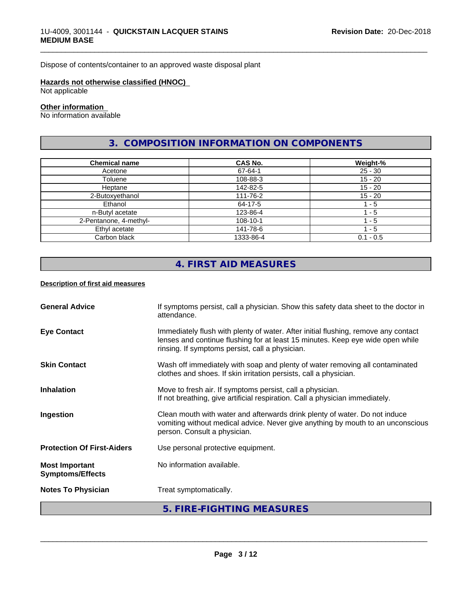Dispose of contents/container to an approved waste disposal plant

### **Hazards not otherwise classified (HNOC)**

Not applicable

#### **Other information**

No information available

# **3. COMPOSITION INFORMATION ON COMPONENTS**

\_\_\_\_\_\_\_\_\_\_\_\_\_\_\_\_\_\_\_\_\_\_\_\_\_\_\_\_\_\_\_\_\_\_\_\_\_\_\_\_\_\_\_\_\_\_\_\_\_\_\_\_\_\_\_\_\_\_\_\_\_\_\_\_\_\_\_\_\_\_\_\_\_\_\_\_\_\_\_\_\_\_\_\_\_\_\_\_\_\_\_\_\_

| <b>Chemical name</b>   | <b>CAS No.</b> | Weight-%    |
|------------------------|----------------|-------------|
| Acetone                | 67-64-1        | $25 - 30$   |
| Toluene                | 108-88-3       | $15 - 20$   |
| Heptane                | 142-82-5       | $15 - 20$   |
| 2-Butoxyethanol        | 111-76-2       | $15 - 20$   |
| Ethanol                | 64-17-5        | l - 5       |
| n-Butyl acetate        | 123-86-4       | - 5         |
| 2-Pentanone, 4-methyl- | 108-10-1       | - 5         |
| Ethyl acetate          | 141-78-6       | - 5         |
| Carbon black           | 1333-86-4      | $0.1 - 0.5$ |

# **4. FIRST AID MEASURES**

#### **Description of first aid measures**

|                                                  | 5. FIRE-FIGHTING MEASURES                                                                                                                                                                                               |
|--------------------------------------------------|-------------------------------------------------------------------------------------------------------------------------------------------------------------------------------------------------------------------------|
| <b>Notes To Physician</b>                        | Treat symptomatically.                                                                                                                                                                                                  |
| <b>Most Important</b><br><b>Symptoms/Effects</b> | No information available.                                                                                                                                                                                               |
| <b>Protection Of First-Aiders</b>                | Use personal protective equipment.                                                                                                                                                                                      |
| Ingestion                                        | Clean mouth with water and afterwards drink plenty of water. Do not induce<br>vomiting without medical advice. Never give anything by mouth to an unconscious<br>person. Consult a physician.                           |
| <b>Inhalation</b>                                | Move to fresh air. If symptoms persist, call a physician.<br>If not breathing, give artificial respiration. Call a physician immediately.                                                                               |
| <b>Skin Contact</b>                              | Wash off immediately with soap and plenty of water removing all contaminated<br>clothes and shoes. If skin irritation persists, call a physician.                                                                       |
| <b>Eye Contact</b>                               | Immediately flush with plenty of water. After initial flushing, remove any contact<br>lenses and continue flushing for at least 15 minutes. Keep eye wide open while<br>rinsing. If symptoms persist, call a physician. |
| <b>General Advice</b>                            | If symptoms persist, call a physician. Show this safety data sheet to the doctor in<br>attendance.                                                                                                                      |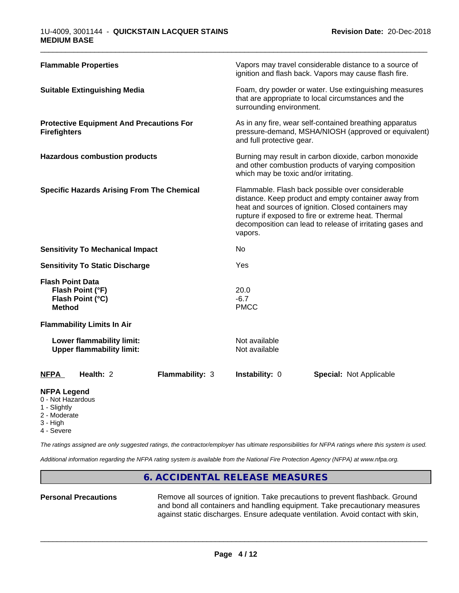| <b>Flammable Properties</b>                                                      | Vapors may travel considerable distance to a source of<br>ignition and flash back. Vapors may cause flash fire.                                                                                                                                                                                |
|----------------------------------------------------------------------------------|------------------------------------------------------------------------------------------------------------------------------------------------------------------------------------------------------------------------------------------------------------------------------------------------|
| <b>Suitable Extinguishing Media</b>                                              | Foam, dry powder or water. Use extinguishing measures<br>that are appropriate to local circumstances and the<br>surrounding environment.                                                                                                                                                       |
| <b>Protective Equipment And Precautions For</b><br><b>Firefighters</b>           | As in any fire, wear self-contained breathing apparatus<br>pressure-demand, MSHA/NIOSH (approved or equivalent)<br>and full protective gear.                                                                                                                                                   |
| <b>Hazardous combustion products</b>                                             | Burning may result in carbon dioxide, carbon monoxide<br>and other combustion products of varying composition<br>which may be toxic and/or irritating.                                                                                                                                         |
| <b>Specific Hazards Arising From The Chemical</b>                                | Flammable. Flash back possible over considerable<br>distance. Keep product and empty container away from<br>heat and sources of ignition. Closed containers may<br>rupture if exposed to fire or extreme heat. Thermal<br>decomposition can lead to release of irritating gases and<br>vapors. |
| <b>Sensitivity To Mechanical Impact</b>                                          | No                                                                                                                                                                                                                                                                                             |
| <b>Sensitivity To Static Discharge</b>                                           | Yes                                                                                                                                                                                                                                                                                            |
| <b>Flash Point Data</b><br>Flash Point (°F)<br>Flash Point (°C)<br><b>Method</b> | 20.0<br>$-6.7$<br><b>PMCC</b>                                                                                                                                                                                                                                                                  |
| <b>Flammability Limits In Air</b>                                                |                                                                                                                                                                                                                                                                                                |
| Lower flammability limit:<br><b>Upper flammability limit:</b>                    | Not available<br>Not available                                                                                                                                                                                                                                                                 |
| Health: 2<br><b>Flammability: 3</b><br><b>NFPA</b>                               | Instability: 0<br><b>Special: Not Applicable</b>                                                                                                                                                                                                                                               |

\_\_\_\_\_\_\_\_\_\_\_\_\_\_\_\_\_\_\_\_\_\_\_\_\_\_\_\_\_\_\_\_\_\_\_\_\_\_\_\_\_\_\_\_\_\_\_\_\_\_\_\_\_\_\_\_\_\_\_\_\_\_\_\_\_\_\_\_\_\_\_\_\_\_\_\_\_\_\_\_\_\_\_\_\_\_\_\_\_\_\_\_\_

#### **NFPA Legend**

- 0 Not Hazardous
- 1 Slightly
- 2 Moderate
- 3 High
- 4 Severe

*The ratings assigned are only suggested ratings, the contractor/employer has ultimate responsibilities for NFPA ratings where this system is used.*

*Additional information regarding the NFPA rating system is available from the National Fire Protection Agency (NFPA) at www.nfpa.org.*

### **6. ACCIDENTAL RELEASE MEASURES**

Personal Precautions **Remove all sources of ignition.** Take precautions to prevent flashback. Ground and bond all containers and handling equipment. Take precautionary measures against static discharges. Ensure adequate ventilation. Avoid contact with skin,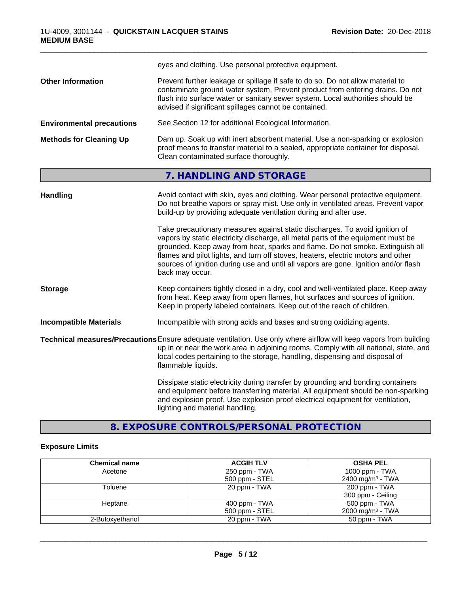|                                  | eyes and clothing. Use personal protective equipment.                                                                                                                                                                                                                                                                                                                                                                                                                                                                                                                                                                                                                                     |
|----------------------------------|-------------------------------------------------------------------------------------------------------------------------------------------------------------------------------------------------------------------------------------------------------------------------------------------------------------------------------------------------------------------------------------------------------------------------------------------------------------------------------------------------------------------------------------------------------------------------------------------------------------------------------------------------------------------------------------------|
| <b>Other Information</b>         | Prevent further leakage or spillage if safe to do so. Do not allow material to<br>contaminate ground water system. Prevent product from entering drains. Do not<br>flush into surface water or sanitary sewer system. Local authorities should be<br>advised if significant spillages cannot be contained.                                                                                                                                                                                                                                                                                                                                                                                |
| <b>Environmental precautions</b> | See Section 12 for additional Ecological Information.                                                                                                                                                                                                                                                                                                                                                                                                                                                                                                                                                                                                                                     |
| <b>Methods for Cleaning Up</b>   | Dam up. Soak up with inert absorbent material. Use a non-sparking or explosion<br>proof means to transfer material to a sealed, appropriate container for disposal.<br>Clean contaminated surface thoroughly.                                                                                                                                                                                                                                                                                                                                                                                                                                                                             |
|                                  | 7. HANDLING AND STORAGE                                                                                                                                                                                                                                                                                                                                                                                                                                                                                                                                                                                                                                                                   |
| <b>Handling</b>                  | Avoid contact with skin, eyes and clothing. Wear personal protective equipment.<br>Do not breathe vapors or spray mist. Use only in ventilated areas. Prevent vapor<br>build-up by providing adequate ventilation during and after use.<br>Take precautionary measures against static discharges. To avoid ignition of<br>vapors by static electricity discharge, all metal parts of the equipment must be<br>grounded. Keep away from heat, sparks and flame. Do not smoke. Extinguish all<br>flames and pilot lights, and turn off stoves, heaters, electric motors and other<br>sources of ignition during use and until all vapors are gone. Ignition and/or flash<br>back may occur. |
| <b>Storage</b>                   | Keep containers tightly closed in a dry, cool and well-ventilated place. Keep away<br>from heat. Keep away from open flames, hot surfaces and sources of ignition.<br>Keep in properly labeled containers. Keep out of the reach of children.                                                                                                                                                                                                                                                                                                                                                                                                                                             |
| <b>Incompatible Materials</b>    | Incompatible with strong acids and bases and strong oxidizing agents.                                                                                                                                                                                                                                                                                                                                                                                                                                                                                                                                                                                                                     |
|                                  | Technical measures/Precautions Ensure adequate ventilation. Use only where airflow will keep vapors from building<br>up in or near the work area in adjoining rooms. Comply with all national, state, and<br>local codes pertaining to the storage, handling, dispensing and disposal of<br>flammable liquids.                                                                                                                                                                                                                                                                                                                                                                            |
|                                  | Dissipate static electricity during transfer by grounding and bonding containers<br>and equipment before transferring material. All equipment should be non-sparking<br>and explosion proof. Use explosion proof electrical equipment for ventilation,<br>lighting and material handling.                                                                                                                                                                                                                                                                                                                                                                                                 |

# **8. EXPOSURE CONTROLS/PERSONAL PROTECTION**

## **Exposure Limits**

| <b>Chemical name</b> | <b>ACGIH TLV</b> | <b>OSHA PEL</b>              |
|----------------------|------------------|------------------------------|
| Acetone              | 250 ppm - TWA    | 1000 ppm - $TWA$             |
|                      | 500 ppm - STEL   | 2400 mg/m <sup>3</sup> - TWA |
| Toluene              | 20 ppm - TWA     | 200 ppm - TWA                |
|                      |                  | 300 ppm - Ceiling            |
| Heptane              | 400 ppm - TWA    | 500 ppm - TWA                |
|                      | 500 ppm - STEL   | $2000 \text{ mg/m}^3$ - TWA  |
| 2-Butoxyethanol      | 20 ppm - TWA     | 50 ppm - TWA                 |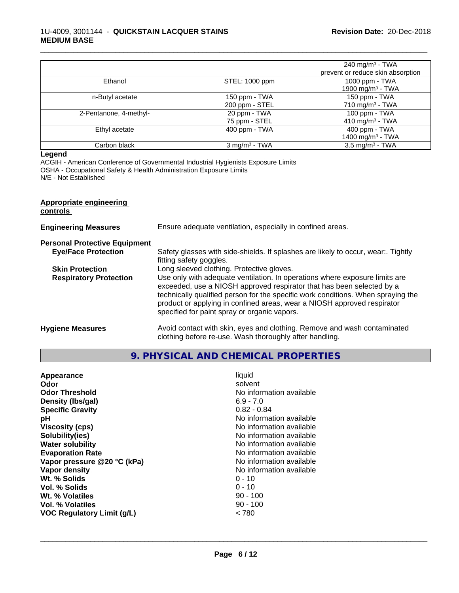|                        |                                 | 240 mg/m <sup>3</sup> - TWA                    |
|------------------------|---------------------------------|------------------------------------------------|
|                        |                                 | prevent or reduce skin absorption              |
| Ethanol                | STEL: 1000 ppm                  | 1000 ppm - TWA<br>1900 mg/m <sup>3</sup> - TWA |
| n-Butyl acetate        | 150 ppm - TWA<br>200 ppm - STEL | 150 ppm - TWA<br>710 mg/m $3$ - TWA            |
| 2-Pentanone, 4-methyl- | 20 ppm - TWA<br>75 ppm - STEL   | 100 ppm - TWA<br>410 mg/m <sup>3</sup> - TWA   |
| Ethyl acetate          | 400 ppm - TWA                   | 400 ppm - TWA<br>1400 mg/m <sup>3</sup> - TWA  |
| Carbon black           | $3$ mg/m <sup>3</sup> - TWA     | $3.5 \text{ mg/m}^3$ - TWA                     |

\_\_\_\_\_\_\_\_\_\_\_\_\_\_\_\_\_\_\_\_\_\_\_\_\_\_\_\_\_\_\_\_\_\_\_\_\_\_\_\_\_\_\_\_\_\_\_\_\_\_\_\_\_\_\_\_\_\_\_\_\_\_\_\_\_\_\_\_\_\_\_\_\_\_\_\_\_\_\_\_\_\_\_\_\_\_\_\_\_\_\_\_\_

#### **Legend**

ACGIH - American Conference of Governmental Industrial Hygienists Exposure Limits OSHA - Occupational Safety & Health Administration Exposure Limits N/E - Not Established

#### **Appropriate engineering controls**

| <b>Engineering Measures</b>          | Ensure adequate ventilation, especially in confined areas.                                                                                                                                                                                                                                                                                                          |
|--------------------------------------|---------------------------------------------------------------------------------------------------------------------------------------------------------------------------------------------------------------------------------------------------------------------------------------------------------------------------------------------------------------------|
| <b>Personal Protective Equipment</b> |                                                                                                                                                                                                                                                                                                                                                                     |
| <b>Eye/Face Protection</b>           | Safety glasses with side-shields. If splashes are likely to occur, wear:. Tightly<br>fitting safety goggles.                                                                                                                                                                                                                                                        |
| <b>Skin Protection</b>               | Long sleeved clothing. Protective gloves.                                                                                                                                                                                                                                                                                                                           |
| <b>Respiratory Protection</b>        | Use only with adequate ventilation. In operations where exposure limits are<br>exceeded, use a NIOSH approved respirator that has been selected by a<br>technically qualified person for the specific work conditions. When spraying the<br>product or applying in confined areas, wear a NIOSH approved respirator<br>specified for paint spray or organic vapors. |
| <b>Hygiene Measures</b>              | Avoid contact with skin, eyes and clothing. Remove and wash contaminated<br>clothing before re-use. Wash thoroughly after handling.                                                                                                                                                                                                                                 |

**9. PHYSICAL AND CHEMICAL PROPERTIES**

| Appearance                        | liquid                   |
|-----------------------------------|--------------------------|
| Odor                              | solvent                  |
| <b>Odor Threshold</b>             | No information available |
| Density (Ibs/gal)                 | $6.9 - 7.0$              |
| <b>Specific Gravity</b>           | $0.82 - 0.84$            |
| рH                                | No information available |
| <b>Viscosity (cps)</b>            | No information available |
| Solubility(ies)                   | No information available |
| <b>Water solubility</b>           | No information available |
| <b>Evaporation Rate</b>           | No information available |
| Vapor pressure @20 °C (kPa)       | No information available |
| Vapor density                     | No information available |
| Wt. % Solids                      | $0 - 10$                 |
| Vol. % Solids                     | $0 - 10$                 |
| Wt. % Volatiles                   | $90 - 100$               |
| Vol. % Volatiles                  | $90 - 100$               |
| <b>VOC Regulatory Limit (g/L)</b> | < 780                    |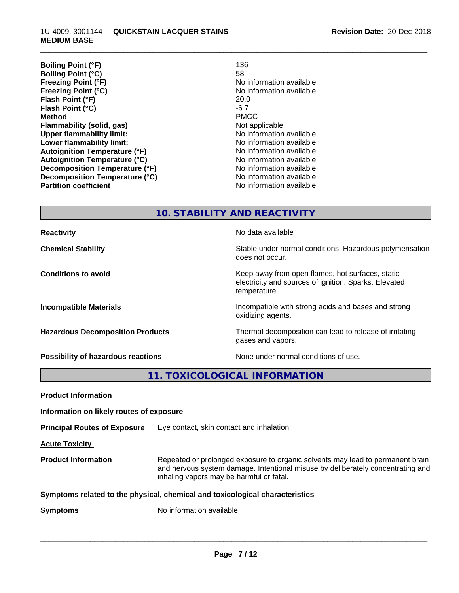| 136                      |
|--------------------------|
| 58                       |
| No information available |
| No information available |
| 20.0                     |
| $-6.7$                   |
| <b>PMCC</b>              |
| Not applicable           |
| No information available |
| No information available |
| No information available |
| No information available |
| No information available |
| No information available |
| No information available |
|                          |

\_\_\_\_\_\_\_\_\_\_\_\_\_\_\_\_\_\_\_\_\_\_\_\_\_\_\_\_\_\_\_\_\_\_\_\_\_\_\_\_\_\_\_\_\_\_\_\_\_\_\_\_\_\_\_\_\_\_\_\_\_\_\_\_\_\_\_\_\_\_\_\_\_\_\_\_\_\_\_\_\_\_\_\_\_\_\_\_\_\_\_\_\_

**10. STABILITY AND REACTIVITY**

| <b>Reactivity</b>                         | No data available                                                                                                         |
|-------------------------------------------|---------------------------------------------------------------------------------------------------------------------------|
| <b>Chemical Stability</b>                 | Stable under normal conditions. Hazardous polymerisation<br>does not occur.                                               |
| <b>Conditions to avoid</b>                | Keep away from open flames, hot surfaces, static<br>electricity and sources of ignition. Sparks. Elevated<br>temperature. |
| <b>Incompatible Materials</b>             | Incompatible with strong acids and bases and strong<br>oxidizing agents.                                                  |
| <b>Hazardous Decomposition Products</b>   | Thermal decomposition can lead to release of irritating<br>gases and vapors.                                              |
| <b>Possibility of hazardous reactions</b> | None under normal conditions of use.                                                                                      |

**11. TOXICOLOGICAL INFORMATION**

| <b>Product Information</b>                                                   |                                                                                                                                                                                                               |
|------------------------------------------------------------------------------|---------------------------------------------------------------------------------------------------------------------------------------------------------------------------------------------------------------|
| Information on likely routes of exposure                                     |                                                                                                                                                                                                               |
| <b>Principal Routes of Exposure</b>                                          | Eye contact, skin contact and inhalation.                                                                                                                                                                     |
| <b>Acute Toxicity</b>                                                        |                                                                                                                                                                                                               |
| <b>Product Information</b>                                                   | Repeated or prolonged exposure to organic solvents may lead to permanent brain<br>and nervous system damage. Intentional misuse by deliberately concentrating and<br>inhaling vapors may be harmful or fatal. |
| Symptoms related to the physical, chemical and toxicological characteristics |                                                                                                                                                                                                               |
| <b>Symptoms</b>                                                              | No information available                                                                                                                                                                                      |
|                                                                              |                                                                                                                                                                                                               |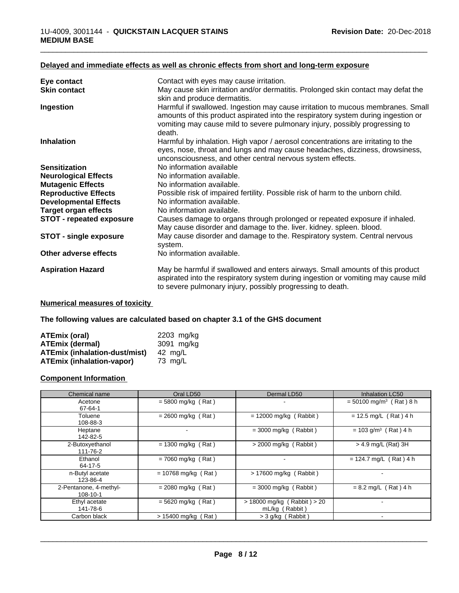| Eye contact                     | Contact with eyes may cause irritation.                                                                                                                                                                                                                       |
|---------------------------------|---------------------------------------------------------------------------------------------------------------------------------------------------------------------------------------------------------------------------------------------------------------|
| <b>Skin contact</b>             | May cause skin irritation and/or dermatitis. Prolonged skin contact may defat the<br>skin and produce dermatitis.                                                                                                                                             |
| Ingestion                       | Harmful if swallowed. Ingestion may cause irritation to mucous membranes. Small<br>amounts of this product aspirated into the respiratory system during ingestion or<br>vomiting may cause mild to severe pulmonary injury, possibly progressing to<br>death. |
| <b>Inhalation</b>               | Harmful by inhalation. High vapor / aerosol concentrations are irritating to the<br>eyes, nose, throat and lungs and may cause headaches, dizziness, drowsiness,<br>unconsciousness, and other central nervous system effects.                                |
| <b>Sensitization</b>            | No information available                                                                                                                                                                                                                                      |
| <b>Neurological Effects</b>     | No information available.                                                                                                                                                                                                                                     |
| <b>Mutagenic Effects</b>        | No information available.                                                                                                                                                                                                                                     |
| <b>Reproductive Effects</b>     | Possible risk of impaired fertility. Possible risk of harm to the unborn child.                                                                                                                                                                               |
| <b>Developmental Effects</b>    | No information available.                                                                                                                                                                                                                                     |
| <b>Target organ effects</b>     | No information available.                                                                                                                                                                                                                                     |
| <b>STOT - repeated exposure</b> | Causes damage to organs through prolonged or repeated exposure if inhaled.<br>May cause disorder and damage to the. liver. kidney. spleen. blood.                                                                                                             |
| STOT - single exposure          | May cause disorder and damage to the. Respiratory system. Central nervous<br>system.                                                                                                                                                                          |
| Other adverse effects           | No information available.                                                                                                                                                                                                                                     |
| <b>Aspiration Hazard</b>        | May be harmful if swallowed and enters airways. Small amounts of this product<br>aspirated into the respiratory system during ingestion or vomiting may cause mild<br>to severe pulmonary injury, possibly progressing to death.                              |

#### **Delayed and immediate effects as well as chronic effects from short and long-term exposure**

#### **Numerical measures of toxicity**

**The following values are calculated based on chapter 3.1 of the GHS document**

| ATEmix (oral)                        | 2203 mg/kg |
|--------------------------------------|------------|
| <b>ATEmix (dermal)</b>               | 3091 ma/ka |
| <b>ATEmix (inhalation-dust/mist)</b> | 42 ma/L    |
| <b>ATEmix (inhalation-vapor)</b>     | 73 ma/L    |

#### **Component Information**

| Chemical name                      | Oral LD50                  | Dermal LD50                                       | Inhalation LC50                       |
|------------------------------------|----------------------------|---------------------------------------------------|---------------------------------------|
| Acetone<br>67-64-1                 | $= 5800$ mg/kg (Rat)       |                                                   | $= 50100$ mg/m <sup>3</sup> (Rat) 8 h |
| Toluene<br>108-88-3                | $= 2600$ mg/kg (Rat)       | $= 12000$ mg/kg (Rabbit)                          | $= 12.5$ mg/L (Rat) 4 h               |
| Heptane<br>142-82-5                |                            | $=$ 3000 mg/kg (Rabbit)                           | $= 103$ g/m <sup>3</sup> (Rat) 4 h    |
| 2-Butoxyethanol<br>111-76-2        | $= 1300$ mg/kg (Rat)       | $>$ 2000 mg/kg (Rabbit)                           | > 4.9 mg/L (Rat) 3H                   |
| Ethanol<br>64-17-5                 | $= 7060$ mg/kg (Rat)       | $\overline{\phantom{a}}$                          | $= 124.7$ mg/L (Rat) 4 h              |
| n-Butyl acetate<br>123-86-4        | $= 10768$ mg/kg (Rat)      | > 17600 mg/kg (Rabbit)                            |                                       |
| 2-Pentanone, 4-methyl-<br>108-10-1 | $= 2080$ mg/kg (Rat)       | $=$ 3000 mg/kg (Rabbit)                           | $= 8.2$ mg/L (Rat) 4 h                |
| Ethyl acetate<br>141-78-6          | $= 5620$ mg/kg (Rat)       | $> 18000$ mg/kg (Rabbit) $> 20$<br>mL/kg (Rabbit) |                                       |
| Carbon black                       | $> 15400$ mg/kg (<br>(Rat) | $>$ 3 g/kg (Rabbit)                               |                                       |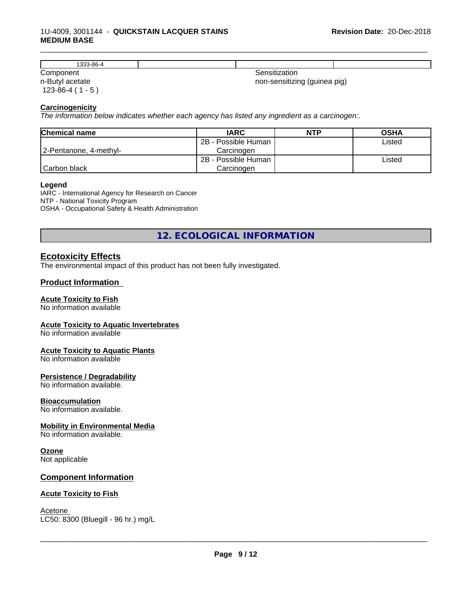#### 1U-4009, 3001144 - **QUICKSTAIN LACQUER STAINS MEDIUM BASE**

| 0C<br>3-80-4               |                                                                                                                                                                                                                                                                                                                                                                                                                                                                                        |  |
|----------------------------|----------------------------------------------------------------------------------------------------------------------------------------------------------------------------------------------------------------------------------------------------------------------------------------------------------------------------------------------------------------------------------------------------------------------------------------------------------------------------------------|--|
| ⌒<br>$\sim$<br>vv.<br>$ -$ | $\begin{array}{cccccccccccccc} \multicolumn{4}{c}{} & \multicolumn{4}{c}{} & \multicolumn{4}{c}{} & \multicolumn{4}{c}{} & \multicolumn{4}{c}{} & \multicolumn{4}{c}{} & \multicolumn{4}{c}{} & \multicolumn{4}{c}{} & \multicolumn{4}{c}{} & \multicolumn{4}{c}{} & \multicolumn{4}{c}{} & \multicolumn{4}{c}{} & \multicolumn{4}{c}{} & \multicolumn{4}{c}{} & \multicolumn{4}{c}{} & \multicolumn{4}{c}{} & \multicolumn{4}{c}{} & \multicolumn{4}{c}{} & \multicolumn{4}{c}{} & \$ |  |

n-Butyl acetate 123-86-4 ( 1 - 5 ) non-sensitizing (guinea pig)

\_\_\_\_\_\_\_\_\_\_\_\_\_\_\_\_\_\_\_\_\_\_\_\_\_\_\_\_\_\_\_\_\_\_\_\_\_\_\_\_\_\_\_\_\_\_\_\_\_\_\_\_\_\_\_\_\_\_\_\_\_\_\_\_\_\_\_\_\_\_\_\_\_\_\_\_\_\_\_\_\_\_\_\_\_\_\_\_\_\_\_\_\_

#### **Carcinogenicity**

*The information below indicateswhether each agency has listed any ingredient as a carcinogen:.*

| <b>Chemical name</b>   | <b>IARC</b>         | <b>NTP</b> | <b>OSHA</b> |
|------------------------|---------------------|------------|-------------|
|                        | 2B - Possible Human |            | Listed      |
| 2-Pentanone, 4-methyl- | Carcinoɑen          |            |             |
|                        | 2B - Possible Human |            | Listed      |
| Carbon black           | Carcinogen          |            |             |

#### **Legend**

IARC - International Agency for Research on Cancer NTP - National Toxicity Program OSHA - Occupational Safety & Health Administration

**12. ECOLOGICAL INFORMATION**

#### **Ecotoxicity Effects**

The environmental impact of this product has not been fully investigated.

#### **Product Information**

#### **Acute Toxicity to Fish**

No information available

#### **Acute Toxicity to Aquatic Invertebrates**

No information available

#### **Acute Toxicity to Aquatic Plants**

No information available

#### **Persistence / Degradability**

No information available.

#### **Bioaccumulation**

No information available.

#### **Mobility in Environmental Media**

No information available.

#### **Ozone**

Not applicable

#### **Component Information**

#### **Acute Toxicity to Fish**

Acetone \_\_\_\_\_\_\_\_\_\_\_\_\_\_\_\_\_\_\_\_\_\_\_\_\_\_\_\_\_\_\_\_\_\_\_\_\_\_\_\_\_\_\_\_\_\_\_\_\_\_\_\_\_\_\_\_\_\_\_\_\_\_\_\_\_\_\_\_\_\_\_\_\_\_\_\_\_\_\_\_\_\_\_\_\_\_\_\_\_\_\_\_\_ LC50: 8300 (Bluegill - 96 hr.) mg/L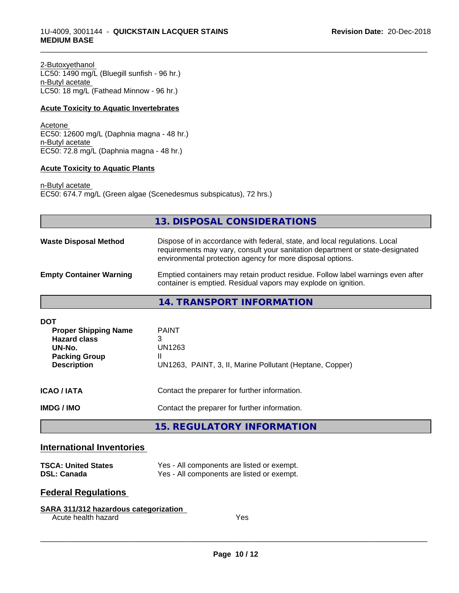2-Butoxyethanol LC50: 1490 mg/L (Bluegill sunfish - 96 hr.) n-Butyl acetate LC50: 18 mg/L (Fathead Minnow - 96 hr.)

#### **Acute Toxicity to Aquatic Invertebrates**

Acetone EC50: 12600 mg/L (Daphnia magna - 48 hr.) n-Butyl acetate EC50: 72.8 mg/L (Daphnia magna - 48 hr.)

#### **Acute Toxicity to Aquatic Plants**

n-Butyl acetate EC50: 674.7 mg/L (Green algae (Scenedesmus subspicatus), 72 hrs.)

|                                                                                                                          | 13. DISPOSAL CONSIDERATIONS                                                                                                                                                                                               |
|--------------------------------------------------------------------------------------------------------------------------|---------------------------------------------------------------------------------------------------------------------------------------------------------------------------------------------------------------------------|
| <b>Waste Disposal Method</b>                                                                                             | Dispose of in accordance with federal, state, and local regulations. Local<br>requirements may vary, consult your sanitation department or state-designated<br>environmental protection agency for more disposal options. |
| <b>Empty Container Warning</b>                                                                                           | Emptied containers may retain product residue. Follow label warnings even after<br>container is emptied. Residual vapors may explode on ignition.                                                                         |
|                                                                                                                          | 14. TRANSPORT INFORMATION                                                                                                                                                                                                 |
| <b>DOT</b><br><b>Proper Shipping Name</b><br><b>Hazard class</b><br>UN-No.<br><b>Packing Group</b><br><b>Description</b> | <b>PAINT</b><br>3<br>UN1263<br>UN1263, PAINT, 3, II, Marine Pollutant (Heptane, Copper)                                                                                                                                   |
| ICAO / IATA                                                                                                              | Contact the preparer for further information.                                                                                                                                                                             |
| <b>IMDG / IMO</b>                                                                                                        | Contact the preparer for further information.                                                                                                                                                                             |
|                                                                                                                          | <b>15. REGULATORY INFORMATION</b>                                                                                                                                                                                         |

\_\_\_\_\_\_\_\_\_\_\_\_\_\_\_\_\_\_\_\_\_\_\_\_\_\_\_\_\_\_\_\_\_\_\_\_\_\_\_\_\_\_\_\_\_\_\_\_\_\_\_\_\_\_\_\_\_\_\_\_\_\_\_\_\_\_\_\_\_\_\_\_\_\_\_\_\_\_\_\_\_\_\_\_\_\_\_\_\_\_\_\_\_

# **International Inventories**

| <b>TSCA: United States</b> | Yes - All components are listed or exempt. |
|----------------------------|--------------------------------------------|
| <b>DSL: Canada</b>         | Yes - All components are listed or exempt. |

# **Federal Regulations**

| SARA 311/312 hazardous categorization |     |  |
|---------------------------------------|-----|--|
| Acute health hazard                   | Yes |  |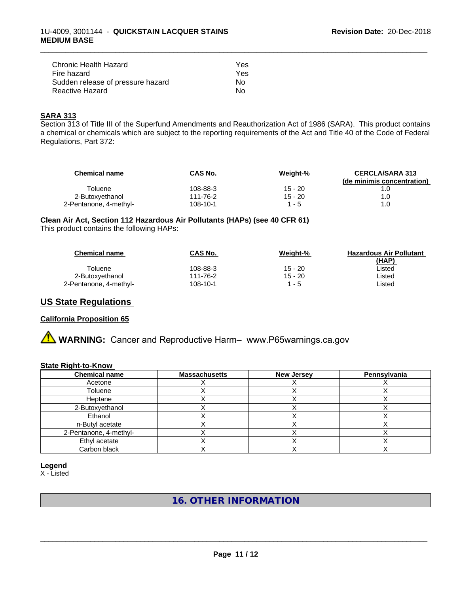| Chronic Health Hazard             | Yes |  |
|-----------------------------------|-----|--|
| Fire hazard                       | Yes |  |
| Sudden release of pressure hazard | Nο  |  |
| Reactive Hazard                   | N٥  |  |

#### **SARA 313**

Section 313 of Title III of the Superfund Amendments and Reauthorization Act of 1986 (SARA). This product contains a chemical or chemicals which are subject to the reporting requirements of the Act and Title 40 of the Code of Federal Regulations, Part 372:

\_\_\_\_\_\_\_\_\_\_\_\_\_\_\_\_\_\_\_\_\_\_\_\_\_\_\_\_\_\_\_\_\_\_\_\_\_\_\_\_\_\_\_\_\_\_\_\_\_\_\_\_\_\_\_\_\_\_\_\_\_\_\_\_\_\_\_\_\_\_\_\_\_\_\_\_\_\_\_\_\_\_\_\_\_\_\_\_\_\_\_\_\_

| <b>Chemical name</b>   | <b>CAS No.</b> | Weight-%  | <b>CERCLA/SARA 313</b><br>(de minimis concentration) |
|------------------------|----------------|-----------|------------------------------------------------------|
| Toluene                | 108-88-3       | 15 - 20   |                                                      |
| 2-Butoxyethanol        | 111-76-2       | $15 - 20$ | 1.0                                                  |
| 2-Pentanone, 4-methyl- | 108-10-1       | $1 - 5$   | 1.0                                                  |

**Clean Air Act,Section 112 Hazardous Air Pollutants (HAPs) (see 40 CFR 61)**

This product contains the following HAPs:

| <b>Chemical name</b>   | <b>CAS No.</b> | Weight-%  | <b>Hazardous Air Pollutant</b> |
|------------------------|----------------|-----------|--------------------------------|
|                        |                |           | (HAP)                          |
| Toluene                | 108-88-3       | $15 - 20$ | Listed                         |
| 2-Butoxyethanol        | 111-76-2       | $15 - 20$ | Listed                         |
| 2-Pentanone, 4-methyl- | 108-10-1       | 1 - 5     | _isted                         |

#### **US State Regulations**

#### **California Proposition 65**

# **AN** WARNING: Cancer and Reproductive Harm– www.P65warnings.ca.gov

#### **State Right-to-Know**

| <b>Chemical name</b>   | <b>Massachusetts</b> | <b>New Jersey</b> | Pennsylvania |
|------------------------|----------------------|-------------------|--------------|
| Acetone                |                      |                   |              |
| Toluene                |                      |                   |              |
| Heptane                |                      |                   |              |
| 2-Butoxvethanol        |                      |                   |              |
| Ethanol                |                      |                   |              |
| n-Butyl acetate        |                      |                   |              |
| 2-Pentanone, 4-methyl- |                      |                   |              |
| Ethyl acetate          |                      |                   |              |
| Carbon black           |                      |                   |              |

#### **Legend**

X - Listed

#### **16. OTHER INFORMATION**